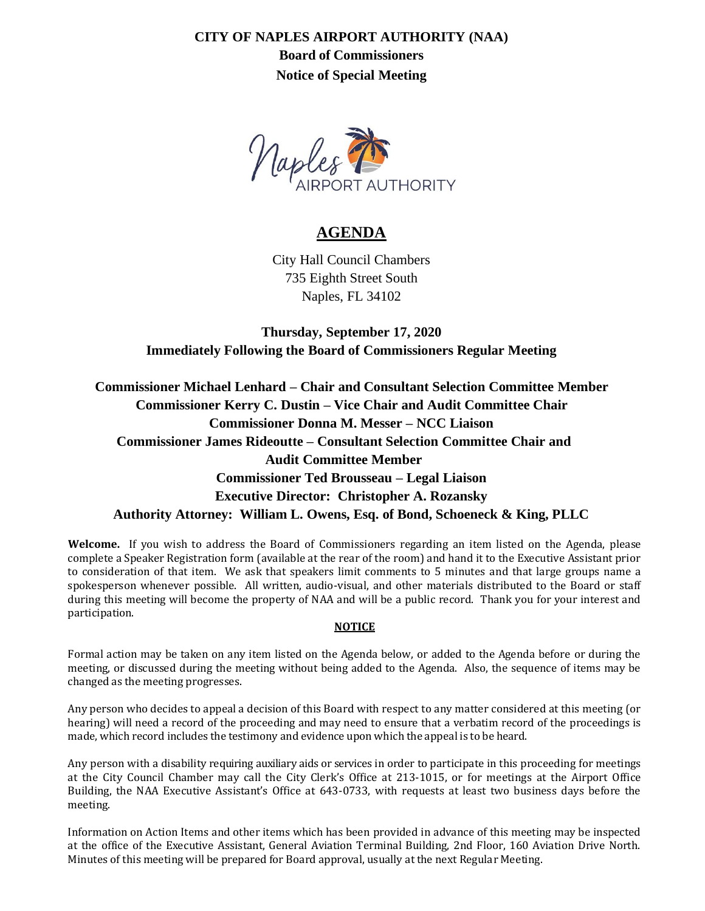**CITY OF NAPLES AIRPORT AUTHORITY (NAA)**

**Board of Commissioners Notice of Special Meeting**



## **AGENDA**

City Hall Council Chambers 735 Eighth Street South Naples, FL 34102

**Thursday, September 17, 2020 Immediately Following the Board of Commissioners Regular Meeting**

**Commissioner Michael Lenhard – Chair and Consultant Selection Committee Member Commissioner Kerry C. Dustin – Vice Chair and Audit Committee Chair Commissioner Donna M. Messer – NCC Liaison Commissioner James Rideoutte – Consultant Selection Committee Chair and Audit Committee Member Commissioner Ted Brousseau – Legal Liaison Executive Director: Christopher A. Rozansky Authority Attorney: William L. Owens, Esq. of Bond, Schoeneck & King, PLLC**

**Welcome.** If you wish to address the Board of Commissioners regarding an item listed on the Agenda, please complete a Speaker Registration form (available at the rear of the room) and hand it to the Executive Assistant prior to consideration of that item. We ask that speakers limit comments to 5 minutes and that large groups name a spokesperson whenever possible. All written, audio-visual, and other materials distributed to the Board or staff during this meeting will become the property of NAA and will be a public record. Thank you for your interest and participation.

## **NOTICE**

Formal action may be taken on any item listed on the Agenda below, or added to the Agenda before or during the meeting, or discussed during the meeting without being added to the Agenda. Also, the sequence of items may be changed as the meeting progresses.

Any person who decides to appeal a decision of this Board with respect to any matter considered at this meeting (or hearing) will need a record of the proceeding and may need to ensure that a verbatim record of the proceedings is made, which record includes the testimony and evidence upon which the appeal is to be heard.

Any person with a disability requiring auxiliary aids or services in order to participate in this proceeding for meetings at the City Council Chamber may call the City Clerk's Office at 213-1015, or for meetings at the Airport Office Building, the NAA Executive Assistant's Office at 643-0733, with requests at least two business days before the meeting.

Information on Action Items and other items which has been provided in advance of this meeting may be inspected at the office of the Executive Assistant, General Aviation Terminal Building, 2nd Floor, 160 Aviation Drive North. Minutes of this meeting will be prepared for Board approval, usually at the next Regular Meeting.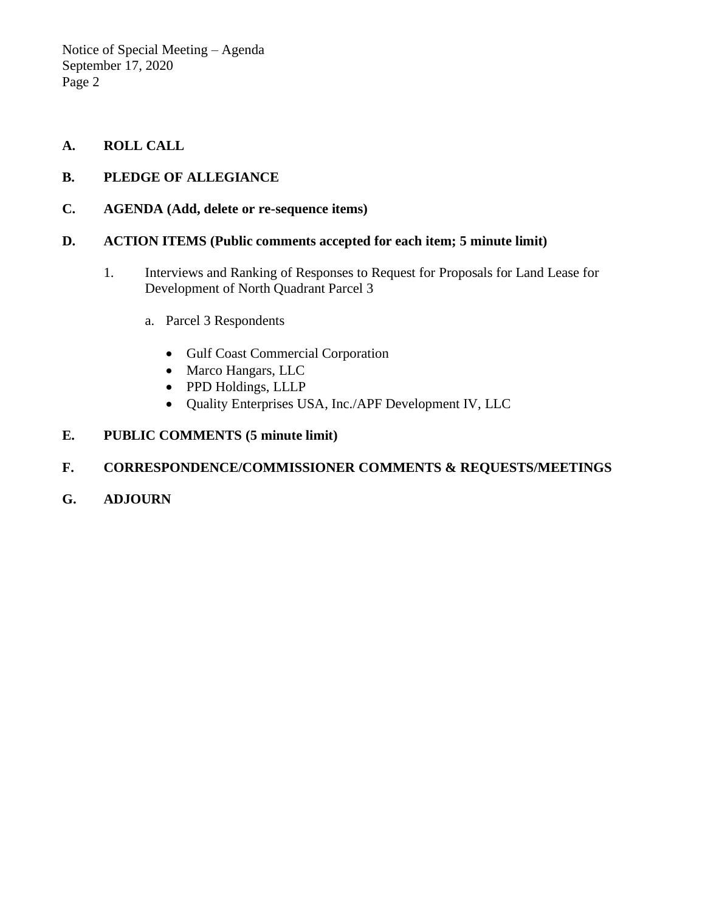Notice of Special Meeting – Agenda September 17, 2020 Page 2

- **A. ROLL CALL**
- **B. PLEDGE OF ALLEGIANCE**
- **C. AGENDA (Add, delete or re-sequence items)**
- **D. ACTION ITEMS (Public comments accepted for each item; 5 minute limit)**
	- 1. Interviews and Ranking of Responses to Request for Proposals for Land Lease for Development of North Quadrant Parcel 3
		- a. Parcel 3 Respondents
			- Gulf Coast Commercial Corporation
			- Marco Hangars, LLC
			- PPD Holdings, LLLP
			- Ouality Enterprises USA, Inc./APF Development IV, LLC

## **E. PUBLIC COMMENTS (5 minute limit)**

## **F. CORRESPONDENCE/COMMISSIONER COMMENTS & REQUESTS/MEETINGS**

**G. ADJOURN**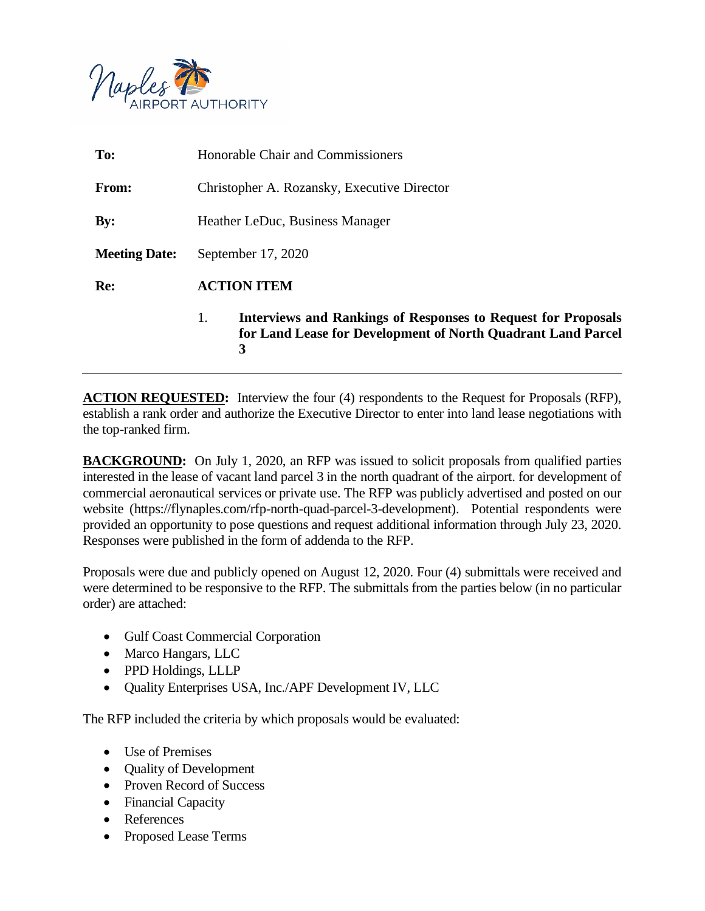

| To:                  | <b>Honorable Chair and Commissioners</b>                                                                                                        |
|----------------------|-------------------------------------------------------------------------------------------------------------------------------------------------|
| <b>From:</b>         | Christopher A. Rozansky, Executive Director                                                                                                     |
| $\mathbf{By:}$       | Heather LeDuc, Business Manager                                                                                                                 |
| <b>Meeting Date:</b> | September 17, 2020                                                                                                                              |
| Re:                  | <b>ACTION ITEM</b>                                                                                                                              |
|                      | <b>Interviews and Rankings of Responses to Request for Proposals</b><br>1.<br>for Land Lease for Development of North Quadrant Land Parcel<br>3 |

**ACTION REQUESTED:** Interview the four (4) respondents to the Request for Proposals (RFP), establish a rank order and authorize the Executive Director to enter into land lease negotiations with the top-ranked firm.

**BACKGROUND:** On July 1, 2020, an RFP was issued to solicit proposals from qualified parties interested in the lease of vacant land parcel 3 in the north quadrant of the airport. for development of commercial aeronautical services or private use. The RFP was publicly advertised and posted on our website (https://flynaples.com/rfp-north-quad-parcel-3-development). Potential respondents were provided an opportunity to pose questions and request additional information through July 23, 2020. Responses were published in the form of addenda to the RFP.

Proposals were due and publicly opened on August 12, 2020. Four (4) submittals were received and were determined to be responsive to the RFP. The submittals from the parties below (in no particular order) are attached:

- Gulf Coast Commercial Corporation
- Marco Hangars, LLC
- PPD Holdings, LLLP
- Quality Enterprises USA, Inc./APF Development IV, LLC

The RFP included the criteria by which proposals would be evaluated:

- Use of Premises
- Quality of Development
- Proven Record of Success
- Financial Capacity
- References
- Proposed Lease Terms